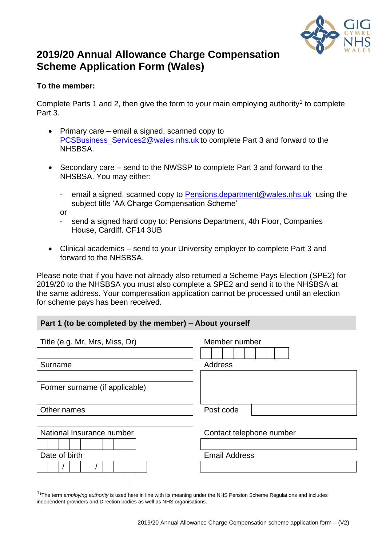

# **2019/20 Annual Allowance Charge Compensation Scheme Application Form (Wales)**

## **To the member:**

Complete Parts 1 and 2, then give the form to your main employing authority<sup>1</sup> to complete Part 3.

- Primary care email a signed, scanned copy to [PCSBusiness\\_Services2@wales.nhs.uk](mailto:PCSBusiness_Services2@wales.nhs.uk) to complete Part 3 and forward to the NHSBSA.
- Secondary care send to the NWSSP to complete Part 3 and forward to the NHSBSA. You may either:
	- email a signed, scanned copy to [Pensions.department@wales.nhs.uk](mailto:Pensions.department@wales.nhs.uk) using the subject title 'AA Charge Compensation Scheme'

or

- send a signed hard copy to: Pensions Department, 4th Floor, Companies House, Cardiff. CF14 3UB
- Clinical academics send to your University employer to complete Part 3 and forward to the NHSBSA.

Please note that if you have not already also returned a Scheme Pays Election (SPE2) for 2019/20 to the NHSBSA you must also complete a SPE2 and send it to the NHSBSA at the same address. Your compensation application cannot be processed until an election for scheme pays has been received.

#### **Part 1 (to be completed by the member) – About yourself**

| Title (e.g. Mr, Mrs, Miss, Dr) | Member number            |  |  |  |  |  |
|--------------------------------|--------------------------|--|--|--|--|--|
| Surname                        | <b>Address</b>           |  |  |  |  |  |
| Former surname (if applicable) |                          |  |  |  |  |  |
| Other names                    | Post code                |  |  |  |  |  |
| National Insurance number      | Contact telephone number |  |  |  |  |  |
| Date of birth                  | <b>Email Address</b>     |  |  |  |  |  |
|                                |                          |  |  |  |  |  |

<sup>1</sup><sup>1</sup>The term *employing authority* is used here in line with its meaning under the NHS Pension Scheme Regulations and includes independent providers and Direction bodies as well as NHS organisations.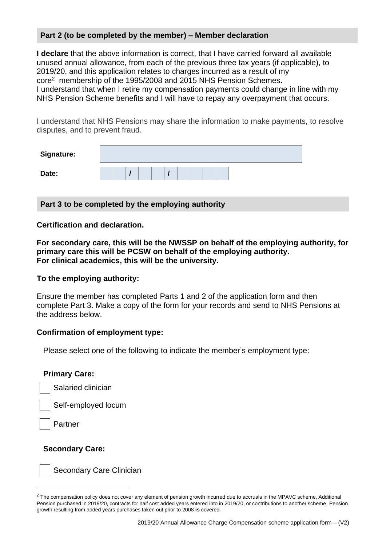#### **Part 2 (to be completed by the member) – Member declaration**

**I declare** that the above information is correct, that I have carried forward all available unused annual allowance, from each of the previous three tax years (if applicable), to 2019/20, and this application relates to charges incurred as a result of my core<sup>2</sup> membership of the 1995/2008 and 2015 NHS Pension Schemes. I understand that when I retire my compensation payments could change in line with my NHS Pension Scheme benefits and I will have to repay any overpayment that occurs.

I understand that NHS Pensions may share the information to make payments, to resolve disputes, and to prevent fraud.

| <b>Signature:</b> |  |  |  |  |  |  |  |  |
|-------------------|--|--|--|--|--|--|--|--|
| Date:             |  |  |  |  |  |  |  |  |

**Part 3 to be completed by the employing authority**

**Certification and declaration.** 

**For secondary care, this will be the NWSSP on behalf of the employing authority, for primary care this will be PCSW on behalf of the employing authority. For clinical academics, this will be the university.**

#### **To the employing authority:**

Ensure the member has completed Parts 1 and 2 of the application form and then complete Part 3. Make a copy of the form for your records and send to NHS Pensions at the address below.

#### **Confirmation of employment type:**

Please select one of the following to indicate the member's employment type:

#### **Primary Care:**

Salaried clinician

Self-employed locum

Partner

#### **Secondary Care:**

Secondary Care Clinician

<sup>&</sup>lt;sup>2</sup> The compensation policy does not cover any element of pension growth incurred due to accruals in the MPAVC scheme, Additional Pension purchased in 2019/20, contracts for half cost added years entered into in 2019/20, or contributions to another scheme. Pension growth resulting from added years purchases taken out prior to 2008 **is** covered.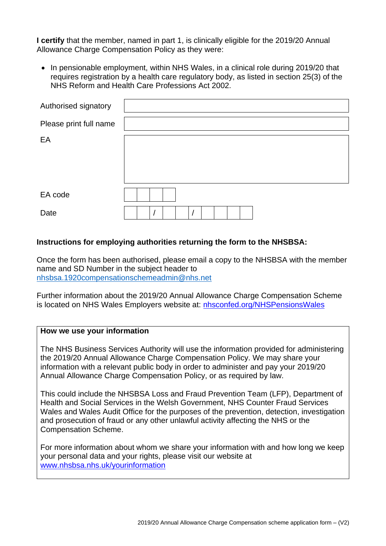**I certify** that the member, named in part 1, is clinically eligible for the 2019/20 Annual Allowance Charge Compensation Policy as they were:

• In pensionable employment, within NHS Wales, in a clinical role during 2019/20 that requires registration by a health care regulatory body, as listed in section 25(3) of the NHS Reform and Health Care Professions Act 2002.

| Authorised signatory   |  |
|------------------------|--|
| Please print full name |  |
| EA                     |  |
|                        |  |
| EA code                |  |
| Date                   |  |

#### **Instructions for employing authorities returning the form to the NHSBSA:**

Once the form has been authorised, please email a copy to the NHSBSA with the member name and SD Number in the subject header to nhsbsa.1920compensationschemeadmin@nhs.net

Further information about the 2019/20 Annual Allowance Charge Compensation Scheme is located on NHS Wales Employers website at: [nhsconfed.org/NHSPensionsWales](https://eur01.safelinks.protection.outlook.com/?url=https%3A%2F%2Fscanmail.trustwave.com%2F%3Fc%3D261%26d%3DutXG4NwW98hpHramn-OdZesWcyCZJHaTHVqScdL0AQ%26u%3Dhttps%3A%252f%252fwww.nhsconfed.org%252fnhspensionswales&data=04%7C01%7CJoanne.Williams%40gov.wales%7C17a7aad4b53948f07fbd08d8e2537dd3%7Ca2cc36c592804ae78887d06dab89216b%7C0%7C0%7C637508195516218117%7CUnknown%7CTWFpbGZsb3d8eyJWIjoiMC4wLjAwMDAiLCJQIjoiV2luMzIiLCJBTiI6Ik1haWwiLCJXVCI6Mn0%3D%7C1000&sdata=FFrQRPD7cbiwi%2BCNRI%2B5kcJvphi8LrdJWc5JUaWgpSg%3D&reserved=0)

#### **How we use your information**

The NHS Business Services Authority will use the information provided for administering the 2019/20 Annual Allowance Charge Compensation Policy. We may share your information with a relevant public body in order to administer and pay your 2019/20 Annual Allowance Charge Compensation Policy, or as required by law.

This could include the NHSBSA Loss and Fraud Prevention Team (LFP), Department of Health and Social Services in the Welsh Government, NHS Counter Fraud Services Wales and Wales Audit Office for the purposes of the prevention, detection, investigation and prosecution of fraud or any other unlawful activity affecting the NHS or the Compensation Scheme.

For more information about whom we share your information with and how long we keep your personal data and your rights, please visit our website at [www.nhsbsa.nhs.uk/yourinformation](http://www.nhsbsa.nhs.uk/yourinformation)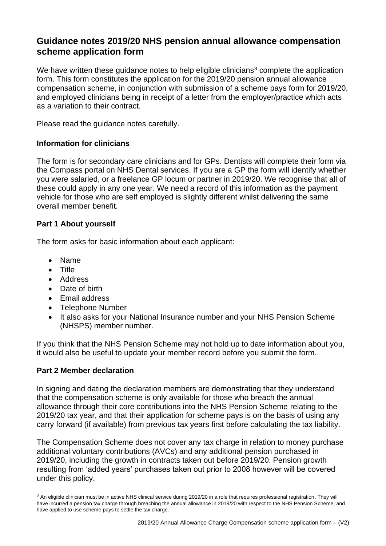# **Guidance notes 2019/20 NHS pension annual allowance compensation scheme application form**

We have written these guidance notes to help eligible clinicians<sup>3</sup> complete the application form. This form constitutes the application for the 2019/20 pension annual allowance compensation scheme, in conjunction with submission of a scheme pays form for 2019/20, and employed clinicians being in receipt of a letter from the employer/practice which acts as a variation to their contract.

Please read the guidance notes carefully.

## **Information for clinicians**

The form is for secondary care clinicians and for GPs. Dentists will complete their form via the Compass portal on NHS Dental services. If you are a GP the form will identify whether you were salaried, or a freelance GP locum or partner in 2019/20. We recognise that all of these could apply in any one year. We need a record of this information as the payment vehicle for those who are self employed is slightly different whilst delivering the same overall member benefit.

# **Part 1 About yourself**

The form asks for basic information about each applicant:

- Name
- Title
- Address
- Date of birth
- Email address
- Telephone Number
- It also asks for your National Insurance number and your NHS Pension Scheme (NHSPS) member number.

If you think that the NHS Pension Scheme may not hold up to date information about you, it would also be useful to update your member record before you submit the form.

#### **Part 2 Member declaration**

In signing and dating the declaration members are demonstrating that they understand that the compensation scheme is only available for those who breach the annual allowance through their core contributions into the NHS Pension Scheme relating to the 2019/20 tax year, and that their application for scheme pays is on the basis of using any carry forward (if available) from previous tax years first before calculating the tax liability.

The Compensation Scheme does not cover any tax charge in relation to money purchase additional voluntary contributions (AVCs) and any additional pension purchased in 2019/20, including the growth in contracts taken out before 2019/20. Pension growth resulting from 'added years' purchases taken out prior to 2008 however will be covered under this policy.

<sup>&</sup>lt;sup>3</sup> An eligible clinician must be in active NHS clinical service during 2019/20 in a role that requires professional registration. They will have incurred a pension tax charge through breaching the annual allowance in 2019/20 with respect to the NHS Pension Scheme, and have applied to use scheme pays to settle the tax charge.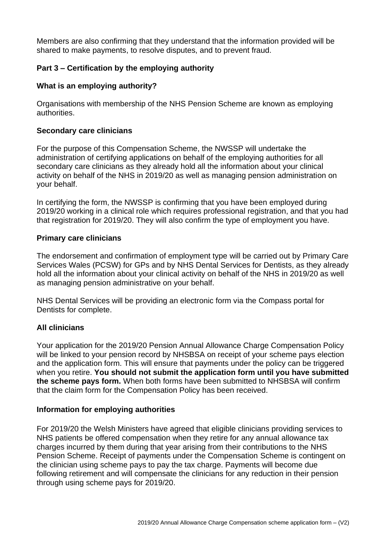Members are also confirming that they understand that the information provided will be shared to make payments, to resolve disputes, and to prevent fraud.

# **Part 3 – Certification by the employing authority**

#### **What is an employing authority?**

Organisations with membership of the NHS Pension Scheme are known as employing authorities.

#### **Secondary care clinicians**

For the purpose of this Compensation Scheme, the NWSSP will undertake the administration of certifying applications on behalf of the employing authorities for all secondary care clinicians as they already hold all the information about your clinical activity on behalf of the NHS in 2019/20 as well as managing pension administration on your behalf.

In certifying the form, the NWSSP is confirming that you have been employed during 2019/20 working in a clinical role which requires professional registration, and that you had that registration for 2019/20. They will also confirm the type of employment you have.

#### **Primary care clinicians**

The endorsement and confirmation of employment type will be carried out by Primary Care Services Wales (PCSW) for GPs and by NHS Dental Services for Dentists, as they already hold all the information about your clinical activity on behalf of the NHS in 2019/20 as well as managing pension administrative on your behalf.

NHS Dental Services will be providing an electronic form via the Compass portal for Dentists for complete.

#### **All clinicians**

Your application for the 2019/20 Pension Annual Allowance Charge Compensation Policy will be linked to your pension record by NHSBSA on receipt of your scheme pays election and the application form. This will ensure that payments under the policy can be triggered when you retire. **You should not submit the application form until you have submitted the scheme pays form.** When both forms have been submitted to NHSBSA will confirm that the claim form for the Compensation Policy has been received.

#### **Information for employing authorities**

For 2019/20 the Welsh Ministers have agreed that eligible clinicians providing services to NHS patients be offered compensation when they retire for any annual allowance tax charges incurred by them during that year arising from their contributions to the NHS Pension Scheme. Receipt of payments under the Compensation Scheme is contingent on the clinician using scheme pays to pay the tax charge. Payments will become due following retirement and will compensate the clinicians for any reduction in their pension through using scheme pays for 2019/20.